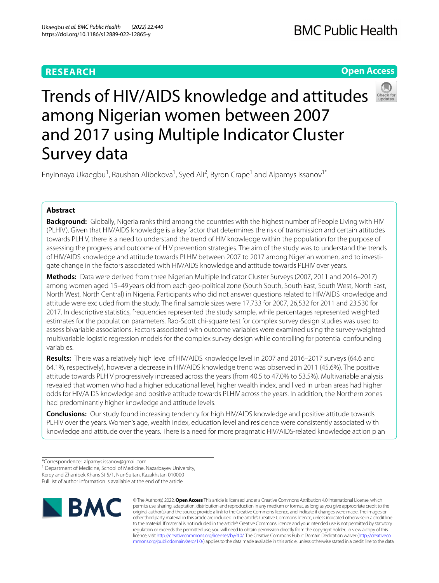# **RESEARCH**

# **Open Access**



# Trends of HIV/AIDS knowledge and attitudes among Nigerian women between 2007 and 2017 using Multiple Indicator Cluster Survey data

Enyinnaya Ukaegbu<sup>1</sup>, Raushan Alibekova<sup>1</sup>, Syed Ali<sup>2</sup>, Byron Crape<sup>1</sup> and Alpamys Issanov<sup>1\*</sup>

# **Abstract**

**Background:** Globally, Nigeria ranks third among the countries with the highest number of People Living with HIV (PLHIV). Given that HIV/AIDS knowledge is a key factor that determines the risk of transmission and certain attitudes towards PLHIV, there is a need to understand the trend of HIV knowledge within the population for the purpose of assessing the progress and outcome of HIV prevention strategies. The aim of the study was to understand the trends of HIV/AIDS knowledge and attitude towards PLHIV between 2007 to 2017 among Nigerian women, and to investigate change in the factors associated with HIV/AIDS knowledge and attitude towards PLHIV over years.

**Methods:** Data were derived from three Nigerian Multiple Indicator Cluster Surveys (2007, 2011 and 2016–2017) among women aged 15–49 years old from each geo-political zone (South South, South East, South West, North East, North West, North Central) in Nigeria. Participants who did not answer questions related to HIV/AIDS knowledge and attitude were excluded from the study. The fnal sample sizes were 17,733 for 2007, 26,532 for 2011 and 23,530 for 2017. In descriptive statistics, frequencies represented the study sample, while percentages represented weighted estimates for the population parameters. Rao-Scott chi-square test for complex survey design studies was used to assess bivariable associations. Factors associated with outcome variables were examined using the survey-weighted multivariable logistic regression models for the complex survey design while controlling for potential confounding variables.

**Results:** There was a relatively high level of HIV/AIDS knowledge level in 2007 and 2016–2017 surveys (64.6 and 64.1%, respectively), however a decrease in HIV/AIDS knowledge trend was observed in 2011 (45.6%). The positive attitude towards PLHIV progressively increased across the years (from 40.5 to 47.0% to 53.5%). Multivariable analysis revealed that women who had a higher educational level, higher wealth index, and lived in urban areas had higher odds for HIV/AIDS knowledge and positive attitude towards PLHIV across the years. In addition, the Northern zones had predominantly higher knowledge and attitude levels.

**Conclusions:** Our study found increasing tendency for high HIV/AIDS knowledge and positive attitude towards PLHIV over the years. Women's age, wealth index, education level and residence were consistently associated with knowledge and attitude over the years. There is a need for more pragmatic HIV/AIDS-related knowledge action plan

Full list of author information is available at the end of the article



© The Author(s) 2022. **Open Access** This article is licensed under a Creative Commons Attribution 4.0 International License, which permits use, sharing, adaptation, distribution and reproduction in any medium or format, as long as you give appropriate credit to the original author(s) and the source, provide a link to the Creative Commons licence, and indicate if changes were made. The images or other third party material in this article are included in the article's Creative Commons licence, unless indicated otherwise in a credit line to the material. If material is not included in the article's Creative Commons licence and your intended use is not permitted by statutory regulation or exceeds the permitted use, you will need to obtain permission directly from the copyright holder. To view a copy of this licence, visit [http://creativecommons.org/licenses/by/4.0/.](http://creativecommons.org/licenses/by/4.0/) The Creative Commons Public Domain Dedication waiver ([http://creativeco](http://creativecommons.org/publicdomain/zero/1.0/) [mmons.org/publicdomain/zero/1.0/](http://creativecommons.org/publicdomain/zero/1.0/)) applies to the data made available in this article, unless otherwise stated in a credit line to the data.

<sup>\*</sup>Correspondence: alpamys.issanov@gmail.com

<sup>&</sup>lt;sup>1</sup> Department of Medicine, School of Medicine, Nazarbayev University, Kerey and Zhanibek Khans St 5/1, Nur-Sultan, Kazakhstan 010000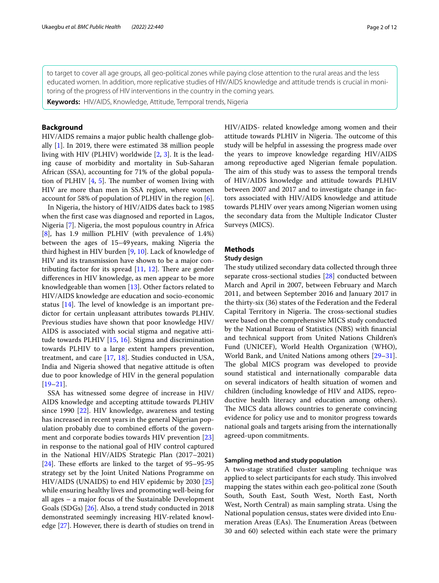to target to cover all age groups, all geo-political zones while paying close attention to the rural areas and the less educated women. In addition, more replicative studies of HIV/AIDS knowledge and attitude trends is crucial in monitoring of the progress of HIV interventions in the country in the coming years.

**Keywords:** HIV/AIDS, Knowledge, Attitude, Temporal trends, Nigeria

## **Background**

HIV/AIDS remains a major public health challenge globally [\[1](#page-10-0)]. In 2019, there were estimated 38 million people living with HIV (PLHIV) worldwide [\[2](#page-10-1), [3](#page-10-2)]. It is the leading cause of morbidity and mortality in Sub-Saharan African (SSA), accounting for 71% of the global population of PLHIV  $[4, 5]$  $[4, 5]$  $[4, 5]$ . The number of women living with HIV are more than men in SSA region, where women account for 58% of population of PLHIV in the region [\[6](#page-10-5)].

In Nigeria, the history of HIV/AIDS dates back to 1985 when the frst case was diagnosed and reported in Lagos, Nigeria [[7\]](#page-10-6). Nigeria, the most populous country in Africa [[8\]](#page-10-7), has 1.9 million PLHIV (with prevalence of 1.4%) between the ages of 15–49years, making Nigeria the third highest in HIV burden [[9,](#page-10-8) [10](#page-10-9)]. Lack of knowledge of HIV and its transmission have shown to be a major contributing factor for its spread  $[11, 12]$  $[11, 12]$  $[11, 12]$  $[11, 12]$ . There are gender diferences in HIV knowledge, as men appear to be more knowledgeable than women [[13](#page-10-12)]. Other factors related to HIV/AIDS knowledge are education and socio-economic status  $[14]$ . The level of knowledge is an important predictor for certain unpleasant attributes towards PLHIV. Previous studies have shown that poor knowledge HIV/ AIDS is associated with social stigma and negative attitude towards PLHIV [\[15](#page-10-14), [16](#page-10-15)]. Stigma and discrimination towards PLHIV to a large extent hampers prevention, treatment, and care [[17](#page-10-16), [18\]](#page-10-17). Studies conducted in USA, India and Nigeria showed that negative attitude is often due to poor knowledge of HIV in the general population [[19–](#page-10-18)[21](#page-10-19)].

SSA has witnessed some degree of increase in HIV/ AIDS knowledge and accepting attitude towards PLHIV since 1990 [[22\]](#page-10-20). HIV knowledge, awareness and testing has increased in recent years in the general Nigerian population probably due to combined eforts of the government and corporate bodies towards HIV prevention [[23](#page-10-21)] in response to the national goal of HIV control captured in the National HIV/AIDS Strategic Plan (2017–2021) [ $24$ ]. These efforts are linked to the target of  $95-95-95$ strategy set by the Joint United Nations Programme on HIV/AIDS (UNAIDS) to end HIV epidemic by 2030 [[25](#page-10-23)] while ensuring healthy lives and promoting well-being for all ages – a major focus of the Sustainable Development Goals (SDGs) [\[26](#page-10-24)]. Also, a trend study conducted in 2018 demonstrated seemingly increasing HIV-related knowledge [[27](#page-10-25)]. However, there is dearth of studies on trend in HIV/AIDS- related knowledge among women and their attitude towards PLHIV in Nigeria. The outcome of this study will be helpful in assessing the progress made over the years to improve knowledge regarding HIV/AIDS among reproductive aged Nigerian female population. The aim of this study was to assess the temporal trends of HIV/AIDS knowledge and attitude towards PLHIV between 2007 and 2017 and to investigate change in factors associated with HIV/AIDS knowledge and attitude towards PLHIV over years among Nigerian women using the secondary data from the Multiple Indicator Cluster Surveys (MICS).

## **Methods**

## **Study design**

The study utilized secondary data collected through three separate cross-sectional studies [\[28](#page-10-26)] conducted between March and April in 2007, between February and March 2011, and between September 2016 and January 2017 in the thirty-six (36) states of the Federation and the Federal Capital Territory in Nigeria. The cross-sectional studies were based on the comprehensive MICS study conducted by the National Bureau of Statistics (NBS) with fnancial and technical support from United Nations Children's Fund (UNICEF), World Health Organization (WHO), World Bank, and United Nations among others [[29](#page-11-0)[–31](#page-11-1)]. The global MICS program was developed to provide sound statistical and internationally comparable data on several indicators of health situation of women and children (including knowledge of HIV and AIDS, reproductive health literacy and education among others). The MICS data allows countries to generate convincing evidence for policy use and to monitor progress towards national goals and targets arising from the internationally agreed-upon commitments.

#### **Sampling method and study population**

A two-stage stratifed cluster sampling technique was applied to select participants for each study. This involved mapping the states within each geo-political zone (South South, South East, South West, North East, North West, North Central) as main sampling strata. Using the National population census, states were divided into Enumeration Areas (EAs). The Enumeration Areas (between 30 and 60) selected within each state were the primary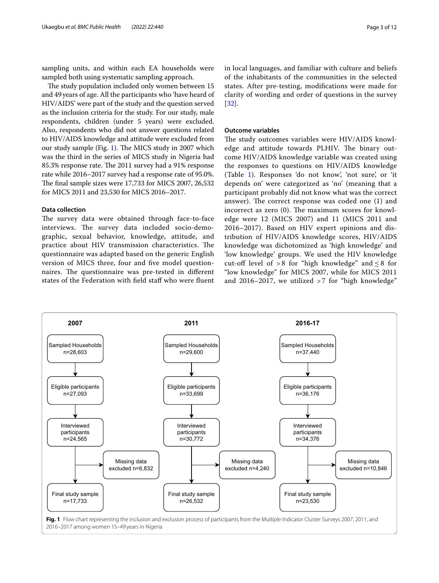sampling units, and within each EA households were sampled both using systematic sampling approach.

The study population included only women between 15 and 49years of age. All the participants who 'have heard of HIV/AIDS' were part of the study and the question served as the inclusion criteria for the study. For our study, male respondents, children (under 5 years) were excluded. Also, respondents who did not answer questions related to HIV/AIDS knowledge and attitude were excluded from our study sample (Fig. [1\)](#page-2-0). The MICS study in 2007 which was the third in the series of MICS study in Nigeria had 85.3% response rate. The 2011 survey had a 91% response rate while 2016–2017 survey had a response rate of 95.0%. The final sample sizes were 17,733 for MICS 2007, 26,532 for MICS 2011 and 23,530 for MICS 2016–2017.

## **Data collection**

The survey data were obtained through face-to-face interviews. The survey data included socio-demographic, sexual behavior, knowledge, attitude, and practice about HIV transmission characteristics. The questionnaire was adapted based on the generic English version of MICS three, four and fve model questionnaires. The questionnaire was pre-tested in different states of the Federation with field staff who were fluent in local languages, and familiar with culture and beliefs of the inhabitants of the communities in the selected states. After pre-testing, modifcations were made for clarity of wording and order of questions in the survey

## **Outcome variables**

[[32](#page-11-2)].

The study outcomes variables were HIV/AIDS knowledge and attitude towards PLHIV. The binary outcome HIV/AIDS knowledge variable was created using the responses to questions on HIV/AIDS knowledge (Table [1](#page-3-0)). Responses 'do not know', 'not sure', or 'it depends on' were categorized as 'no' (meaning that a participant probably did not know what was the correct answer). The correct response was coded one  $(1)$  and incorrect as zero  $(0)$ . The maximum scores for knowledge were 12 (MICS 2007) and 11 (MICS 2011 and 2016–2017). Based on HIV expert opinions and distribution of HIV/AIDS knowledge scores, HIV/AIDS knowledge was dichotomized as 'high knowledge' and 'low knowledge' groups. We used the HIV knowledge cut-off level of > 8 for "high knowledge" and  $\leq$  8 for "low knowledge" for MICS 2007, while for MICS 2011 and 2016–2017, we utilized  $>7$  for "high knowledge"

<span id="page-2-0"></span>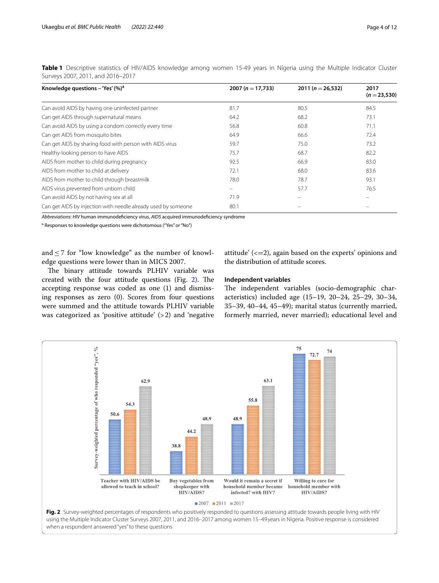| Knowledge questions - 'Yes' $(\%)^a$                          | 2007 ( $n = 17,733$ ) | 2011 ( $n = 26,532$ ) | 2017<br>$(n=23,530)$     |
|---------------------------------------------------------------|-----------------------|-----------------------|--------------------------|
| Can avoid AIDS by having one uninfected partner               | 81.7                  | 80.5                  | 84.5                     |
| Can get AIDS through supernatural means                       | 64.2                  | 68.2                  | 73.1                     |
| Can avoid AIDS by using a condom correctly every time         | 56.8                  | 60.8                  | 71.1                     |
| Can get AIDS from mosquito bites                              | 64.9                  | 66.6                  | 72.4                     |
| Can get AIDS by sharing food with person with AIDS virus      | 59.7                  | 75.0                  | 73.2                     |
| Healthy-looking person to have AIDS                           | 75.7                  | 68.7                  | 82.2                     |
| AIDS from mother to child during pregnancy                    | 92.5                  | 66.9                  | 83.0                     |
| AIDS from mother to child at delivery                         | 72.1                  | 68.0                  | 83.6                     |
| AIDS from mother to child through breastmilk                  | 78.0                  | 78.7                  | 93.1                     |
| AIDS virus prevented from unborn child                        |                       | 57.7                  | 76.5                     |
| Can avoid AIDS by not having sex at all                       | 71.9                  |                       | $\overline{\phantom{0}}$ |
| Can get AIDS by injection with needle already used by someone | 80.1                  |                       |                          |

<span id="page-3-0"></span>**Table 1** Descriptive statistics of HIV/AIDS knowledge among women 15-49 years in Nigeria using the Multiple Indicator Cluster Surveys 2007, 2011, and 2016–2017

*Abbreviations*: *HIV* human immunodefciency virus, *AIDS* acquired immunodefciency syndrome

<sup>a</sup> Responses to knowledge questions were dichotomous ("Yes" or "No")

and  $\leq$  7 for "low knowledge" as the number of knowledge questions were lower than in MICS 2007.

attitude'  $\left( \langle =2 \rangle \right)$ , again based on the experts' opinions and the distribution of attitude scores.

The binary attitude towards PLHIV variable was created with the four attitude questions (Fig.  $2$ ). The accepting response was coded as one (1) and dismissing responses as zero (0). Scores from four questions were summed and the attitude towards PLHIV variable was categorized as 'positive attitude' (>2) and 'negative

## **Independent variables**

The independent variables (socio-demographic characteristics) included age (15–19, 20–24, 25–29, 30–34, 35–39, 40–44, 45–49); marital status (currently married, formerly married, never married); educational level and

<span id="page-3-1"></span>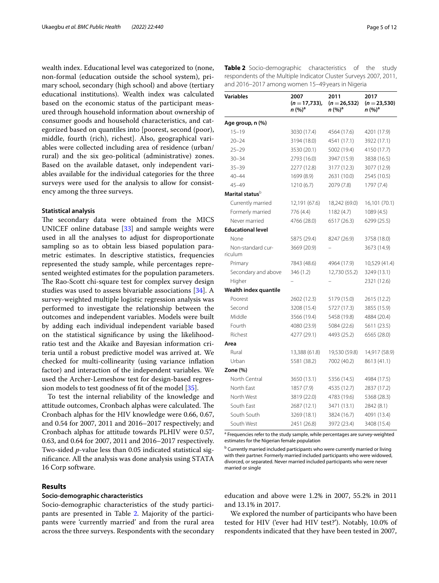wealth index. Educational level was categorized to (none, non-formal (education outside the school system), primary school, secondary (high school) and above (tertiary educational institutions). Wealth index was calculated based on the economic status of the participant measured through household information about ownership of consumer goods and household characteristics, and categorized based on quantiles into [poorest, second (poor), middle, fourth (rich), richest]. Also, geographical variables were collected including area of residence (urban/ rural) and the six geo-political (administrative) zones. Based on the available dataset, only independent variables available for the individual categories for the three surveys were used for the analysis to allow for consistency among the three surveys.

#### **Statistical analysis**

The secondary data were obtained from the MICS UNICEF online database [\[33\]](#page-11-3) and sample weights were used in all the analyses to adjust for disproportionate sampling so as to obtain less biased population parametric estimates. In descriptive statistics, frequencies represented the study sample, while percentages represented weighted estimates for the population parameters. The Rao-Scott chi-square test for complex survey design studies was used to assess bivariable associations [\[34](#page-11-4)]. A survey-weighted multiple logistic regression analysis was performed to investigate the relationship between the outcomes and independent variables. Models were built by adding each individual independent variable based on the statistical signifcance by using the likelihoodratio test and the Akaike and Bayesian information criteria until a robust predictive model was arrived at. We checked for multi-collinearity (using variance infation factor) and interaction of the independent variables. We used the Archer-Lemeshow test for design-based regression models to test goodness of ft of the model [\[35](#page-11-5)].

To test the internal reliability of the knowledge and attitude outcomes, Cronbach alphas were calculated. The Cronbach alphas for the HIV knowledge were 0.66, 0.67, and 0.54 for 2007, 2011 and 2016–2017 respectively; and Cronbach alphas for attitude towards PLHIV were 0.57, 0.63, and 0.64 for 2007, 2011 and 2016–2017 respectively. Two-sided *p*-value less than 0.05 indicated statistical signifcance. All the analysis was done analysis using STATA 16 Corp software.

## **Results**

## **Socio‑demographic characteristics**

Socio-demographic characteristics of the study participants are presented in Table [2](#page-4-0). Majority of the participants were 'currently married' and from the rural area across the three surveys. Respondents with the secondary

<span id="page-4-0"></span>

| Table 2 Socio-demographic characteristics of the study            |  |  |
|-------------------------------------------------------------------|--|--|
| respondents of the Multiple Indicator Cluster Surveys 2007, 2011, |  |  |
| and 2016–2017 among women 15–49 years in Nigeria                  |  |  |

| <b>Variables</b>                   | 2007<br>$(n=17,733)$ ,<br>$n (%)^a$ | 2011<br>$(n = 26, 532)$<br>n (%) <sup>a</sup> | 2017<br>$(n=23,530)$<br>n (%)ª |
|------------------------------------|-------------------------------------|-----------------------------------------------|--------------------------------|
| Age group, n (%)                   |                                     |                                               |                                |
| $15 - 19$                          | 3030 (17.4)                         | 4564 (17.6)                                   | 4201 (17.9)                    |
| $20 - 24$                          | 3194 (18.0)                         | 4541 (17.1)                                   | 3922 (17.1)                    |
| $25 - 29$                          | 3530 (20.1)                         | 5002 (19.4)                                   | 4150 (17.7)                    |
| $30 - 34$                          | 2793 (16.0)                         | 3947 (15.9)                                   | 3838 (16.5)                    |
| $35 - 39$                          | 2277 (12.8)                         | 3177 (12.3)                                   | 3077 (12.9)                    |
| $40 - 44$                          | 1699 (8.9)                          | 2631 (10.0)                                   | 2545 (10.5)                    |
| $45 - 49$                          | 1210 (6.7)                          | 2079 (7.8)                                    | 1797 (7.4)                     |
| Marital status $^{\triangleright}$ |                                     |                                               |                                |
| Currently married                  | 12,191 (67.6)                       | 18,242 (69.0)                                 | 16,101 (70.1)                  |
| Formerly married                   | 776 (4.4)                           | 1182 (4.7)                                    | 1089 (4.5)                     |
| Never married                      | 4766 (28.0)                         | 6517 (26.3)                                   | 6299 (25.5)                    |
| <b>Educational level</b>           |                                     |                                               |                                |
| None                               | 5875 (29.4)                         | 8247 (26.9)                                   | 3758 (18.0)                    |
| Non-standard cur-<br>riculum       | 3669 (20.9)                         |                                               | 3673 (14.9)                    |
| Primary                            | 7843 (48.6)                         | 4964 (17.9)                                   | 10,529 (41.4)                  |
| Secondary and above                | 346 (1.2)                           | 12,730 (55.2)                                 | 3249 (13.1)                    |
| Higher                             |                                     |                                               | 2321 (12.6)                    |
| Wealth index quantile              |                                     |                                               |                                |
| Poorest                            | 2602 (12.3)                         | 5179 (15.0)                                   | 2615 (12.2)                    |
| Second                             | 3208 (15.4)                         | 5727 (17.3)                                   | 3855 (15.9)                    |
| Middle                             | 3566 (19.4)                         | 5458 (19.8)                                   | 4884 (20.4)                    |
| Fourth                             | 4080 (23.9)                         | 5084 (22.6)                                   | 5611 (23.5)                    |
| Richest                            | 4277 (29.1)                         | 4493 (25.2)                                   | 6565 (28.0)                    |
| Area                               |                                     |                                               |                                |
| Rural                              | 13,388 (61.8)                       | 19,530 (59.8)                                 | 14,917 (58.9)                  |
| Urban                              | 5581 (38.2)                         | 7002 (40.2)                                   | 8613 (41.1)                    |
| Zone $(\%)$                        |                                     |                                               |                                |
| North Central                      | 3650 (13.1)                         | 5356 (14.5)                                   | 4984 (17.5)                    |
| North East                         | 1857 (7.9)                          | 4535 (12.7)                                   | 2837 (17.2)                    |
| North West                         | 3819 (22.0)                         | 4783 (19.6)                                   | 5368 (28.3)                    |
| South Fast                         | 2687 (12.1)                         | 3471 (13.1)                                   | 2842 (8.1)                     |
| South South                        | 3269 (18.1)                         | 3824 (16.7)                                   | 4091 (13.4)                    |
| South West                         | 2451 (26.8)                         | 3972 (23.4)                                   | 3408 (15.4)                    |

<sup>a</sup> Frequencies refer to the study sample, while percentages are survey-weighted estimates for the Nigerian female population

**b** Currently married included participants who were currently married or living with their partner. Formerly married included participants who were widowed, divorced, or separated. Never married included participants who were never married or single

education and above were 1.2% in 2007, 55.2% in 2011 and 13.1% in 2017.

We explored the number of participants who have been tested for HIV ('ever had HIV test?'). Notably, 10.0% of respondents indicated that they have been tested in 2007,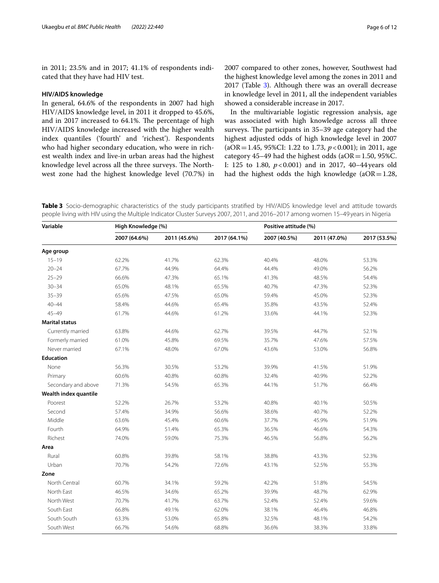in 2011; 23.5% and in 2017; 41.1% of respondents indicated that they have had HIV test.

#### **HIV/AIDS knowledge**

In general, 64.6% of the respondents in 2007 had high HIV/AIDS knowledge level, in 2011 it dropped to 45.6%, and in 2017 increased to 64.1%. The percentage of high HIV/AIDS knowledge increased with the higher wealth index quantiles ('fourth' and 'richest'). Respondents who had higher secondary education, who were in richest wealth index and live-in urban areas had the highest knowledge level across all the three surveys. The Northwest zone had the highest knowledge level (70.7%) in 2007 compared to other zones, however, Southwest had the highest knowledge level among the zones in 2011 and 2017 (Table [3](#page-5-0)). Although there was an overall decrease in knowledge level in 2011, all the independent variables showed a considerable increase in 2017.

In the multivariable logistic regression analysis, age was associated with high knowledge across all three surveys. The participants in 35–39 age category had the highest adjusted odds of high knowledge level in 2007 (aOR=1.45, 95%CI: 1.22 to 1.73, *p*<0.001); in 2011, age category 45–49 had the highest odds (aOR = 1.50, 95%C. I: 125 to 1.80, *p*<0.001) and in 2017, 40–44years old had the highest odds the high knowledge ( $aOR = 1.28$ ,

<span id="page-5-0"></span>**Table 3** Socio-demographic characteristics of the study participants stratifed by HIV/AIDS knowledge level and attitude towards people living with HIV using the Multiple Indicator Cluster Surveys 2007, 2011, and 2016–2017 among women 15–49 years in Nigeria

| Variable              | High Knowledge (%) |              |              | Positive attitude (%) |              |              |
|-----------------------|--------------------|--------------|--------------|-----------------------|--------------|--------------|
|                       | 2007 (64.6%)       | 2011 (45.6%) | 2017 (64.1%) | 2007 (40.5%)          | 2011 (47.0%) | 2017 (53.5%) |
| Age group             |                    |              |              |                       |              |              |
| $15 - 19$             | 62.2%              | 41.7%        | 62.3%        | 40.4%                 | 48.0%        | 53.3%        |
| $20 - 24$             | 67.7%              | 44.9%        | 64.4%        | 44.4%                 | 49.0%        | 56.2%        |
| $25 - 29$             | 66.6%              | 47.3%        | 65.1%        | 41.3%                 | 48.5%        | 54.4%        |
| $30 - 34$             | 65.0%              | 48.1%        | 65.5%        | 40.7%                 | 47.3%        | 52.3%        |
| $35 - 39$             | 65.6%              | 47.5%        | 65.0%        | 59.4%                 | 45.0%        | 52.3%        |
| $40 - 44$             | 58.4%              | 44.6%        | 65.4%        | 35.8%                 | 43.5%        | 52.4%        |
| $45 - 49$             | 61.7%              | 44.6%        | 61.2%        | 33.6%                 | 44.1%        | 52.3%        |
| <b>Marital status</b> |                    |              |              |                       |              |              |
| Currently married     | 63.8%              | 44.6%        | 62.7%        | 39.5%                 | 44.7%        | 52.1%        |
| Formerly married      | 61.0%              | 45.8%        | 69.5%        | 35.7%                 | 47.6%        | 57.5%        |
| Never married         | 67.1%              | 48.0%        | 67.0%        | 43.6%                 | 53.0%        | 56.8%        |
| <b>Education</b>      |                    |              |              |                       |              |              |
| None                  | 56.3%              | 30.5%        | 53.2%        | 39.9%                 | 41.5%        | 51.9%        |
| Primary               | 60.6%              | 40.8%        | 60.8%        | 32.4%                 | 40.9%        | 52.2%        |
| Secondary and above   | 71.3%              | 54.5%        | 65.3%        | 44.1%                 | 51.7%        | 66.4%        |
| Wealth index quantile |                    |              |              |                       |              |              |
| Poorest               | 52.2%              | 26.7%        | 53.2%        | 40.8%                 | 40.1%        | 50.5%        |
| Second                | 57.4%              | 34.9%        | 56.6%        | 38.6%                 | 40.7%        | 52.2%        |
| Middle                | 63.6%              | 45.4%        | 60.6%        | 37.7%                 | 45.9%        | 51.9%        |
| Fourth                | 64.9%              | 51.4%        | 65.3%        | 36.5%                 | 46.6%        | 54.3%        |
| Richest               | 74.0%              | 59.0%        | 75.3%        | 46.5%                 | 56.8%        | 56.2%        |
| Area                  |                    |              |              |                       |              |              |
| Rural                 | 60.8%              | 39.8%        | 58.1%        | 38.8%                 | 43.3%        | 52.3%        |
| Urban                 | 70.7%              | 54.2%        | 72.6%        | 43.1%                 | 52.5%        | 55.3%        |
| Zone                  |                    |              |              |                       |              |              |
| North Central         | 60.7%              | 34.1%        | 59.2%        | 42.2%                 | 51.8%        | 54.5%        |
| North East            | 46.5%              | 34.6%        | 65.2%        | 39.9%                 | 48.7%        | 62.9%        |
| North West            | 70.7%              | 41.7%        | 63.7%        | 52.4%                 | 52.4%        | 59.6%        |
| South East            | 66.8%              | 49.1%        | 62.0%        | 38.1%                 | 46.4%        | 46.8%        |
| South South           | 63.3%              | 53.0%        | 65.8%        | 32.5%                 | 48.1%        | 54.2%        |
| South West            | 66.7%              | 54.6%        | 68.8%        | 36.6%                 | 38.3%        | 33.8%        |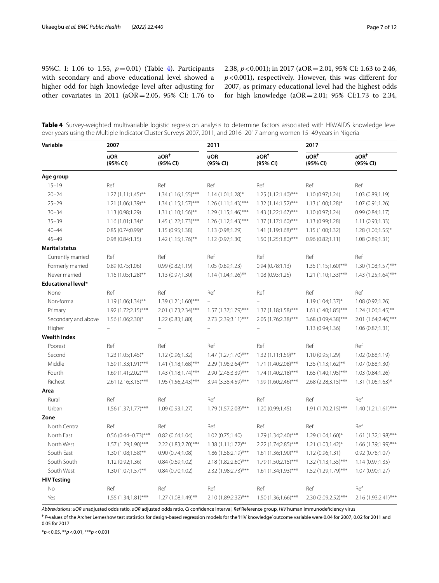95%C. I: 1.06 to 1.55, *p*=0.01) (Table [4](#page-6-0)). Participants with secondary and above educational level showed a higher odd for high knowledge level after adjusting for other covariates in 2011 (aOR=2.05, 95% CI: 1.76 to

2.38,  $p < 0.001$ ); in 2017 (aOR = 2.01, 95% CI: 1.63 to 2.46, *p*<0.001), respectively. However, this was diferent for 2007, as primary educational level had the highest odds for high knowledge (aOR=2.01; 95% CI:1.73 to 2.34,

<span id="page-6-0"></span>

|  | Table 4 Survey-weighted multivariable logistic regression analysis to determine factors associated with HIV/AIDS knowledge level |  |  |  |  |
|--|----------------------------------------------------------------------------------------------------------------------------------|--|--|--|--|
|  | over years using the Multiple Indicator Cluster Surveys 2007, 2011, and 2016–2017 among women 15–49 years in Nigeria             |  |  |  |  |

| Variable                  | 2007                   |                              | 2011                   |                              | 2017                         |                              |  |
|---------------------------|------------------------|------------------------------|------------------------|------------------------------|------------------------------|------------------------------|--|
|                           | <b>uOR</b><br>(95% CI) | aOR <sup>†</sup><br>(95% CI) | <b>uOR</b><br>(95% CI) | aOR <sup>†</sup><br>(95% CI) | UOR <sup>†</sup><br>(95% CI) | aOR <sup>†</sup><br>(95% CI) |  |
| Age group                 |                        |                              |                        |                              |                              |                              |  |
| $15 - 19$                 | Ref                    | Ref                          | Ref                    | Ref                          | Ref                          | Ref                          |  |
| $20 - 24$                 | $1.27(1.11;1.45)$ **   | $1.34(1.16;1.55)$ ***        | $1.14(1.01;1.28)$ *    | $1.25(1.12;1.40)$ ***        | 1.10 (0.97;1.24)             | 1.03 (0.89;1.19)             |  |
| $25 - 29$                 | 1.21 (1.06;1.39)**     | $1.34(1.15;1.57)$ ***        | $1.26(1.11;1.43)$ ***  | $1.32(1.14;1.52)$ ***        | 1.13 (1.00;1.28)*            | 1.07(0.91;1.26)              |  |
| $30 - 34$                 | 1.13 (0.98;1.29)       | $1.31 (1.10; 1.56)$ **       | 1.29 (1.15;1.46)***    | $1.43$ $(1.22;1.67)$ ***     | 1.10 (0.97;1.24)             | 0.99(0.84;1.17)              |  |
| $35 - 39$                 | $1.16(1.01;1.34)^{*}$  | $1.45(1.22;1.73)$ ***        | $1.26(1.12;1.43)$ ***  | $1.37(1.17;1.60)$ ***        | 1.13 (0.99;1.28)             | 1.11(0.93;1.33)              |  |
| $40 - 44$                 | $0.85(0.74;0.99)$ *    | 1.15(0.95;1.38)              | 1.13 (0.98;1.29)       | $1.41(1.19;1.68)$ ***        | 1.15(1.00;1.32)              | $1.28(1.06;1.55)^*$          |  |
| $45 - 49$                 | 0.98(0.84;1.15)        | $1.42(1.15;1.76)$ **         | 1.12(0.97;1.30)        | 1.50 (1.25;1.80)***          | 0.96(0.82;1.11)              | 1.08 (0.89;1.31)             |  |
| <b>Marital status</b>     |                        |                              |                        |                              |                              |                              |  |
| Currently married         | Ref                    | Ref                          | Ref                    | Ref                          | Ref                          | Ref                          |  |
| Formerly married          | 0.89(0.75;1.06)        | 0.99(0.82;1.19)              | 1.05 (0.89;1.23)       | 0.94(0.78;1.13)              | $1.35(1.15;1.60)$ ***        | 1.30 (1.08;1.57)***          |  |
| Never married             | $1.16(1.05;1.28)$ **   | 1.13 (0.97;1.30)             | 1.14 (1.04;1.26)**     | 1.08(0.93;1.25)              | $1.21 (1.10; 1.33)$ ***      | 1.43 (1.25;1.64)***          |  |
| <b>Educational level*</b> |                        |                              |                        |                              |                              |                              |  |
| None                      | Ref                    | Ref                          | Ref                    | Ref                          | Ref                          | Ref                          |  |
| Non-formal                | $1.19(1.06;1.34)$ **   | 1.39 (1.21;1.60)***          | $\equiv$               |                              | 1.19 (1.04;1.37)*            | 1.08 (0.92;1.26)             |  |
| Primary                   | $1.92(1.72;2.15)$ ***  | 2.01 (1.73;2.34)***          | 1.57 (1.37;1.79)***    | $1.37(1.18;1.58)$ ***        | $1.61 (1.40; 1.85)^{***}$    | $1.24(1.06;1.45)$ **         |  |
| Secondary and above       | $1.56(1.06;2.30)^{*}$  | 1.22 (0.83;1.80)             | $2.73$ (2.39;3.11)***  | 2.05 (1.76;2.38)***          | 3.68 (3.09;4.38)***          | 2.01 (1.64;2.46)***          |  |
| Higher                    | $\qquad \qquad -$      |                              |                        |                              | 1.13 (0.94;1.36)             | 1.06(0.87;1.31)              |  |
| <b>Wealth Index</b>       |                        |                              |                        |                              |                              |                              |  |
| Poorest                   | Ref                    | Ref                          | Ref                    | Ref                          | Ref                          | Ref                          |  |
| Second                    | $1.23$ $(1.05;1.45)^*$ | 1.12 (0.96;1.32)             | $1.47(1.27;1.70)$ ***  | $1.32(1.11;1.59)$ **         | 1.10 (0.95;1.29)             | 1.02 (0.88;1.19)             |  |
| Middle                    | 1.59 (1.33;1.91)***    | 1.41 (1.18;1.68)***          | 2.29 (1.98;2.64)***    | 1.71 (1.40;2.08)***          | $1.35(1.13;1.62)$ **         | 1.07 (0.88;1.30)             |  |
| Fourth                    | 1.69 (1.41;2.02)***    | $1.43(1.18;1.74)$ ***        | 2.90 (2.48;3.39)***    | 1.74 (1.40;2.18)***          | 1.65 (1.40;1.95)***          | 1.03 (0.84;1.26)             |  |
| Richest                   | 2.61 (2.16;3.15)***    | 1.95 (1.56;2.43)***          | 3.94 (3.38;4.59)***    | 1.99 (1.60;2.46)***          | 2.68 (2.28;3.15)***          | $1.31 (1.06; 1.63)^*$        |  |
| Area                      |                        |                              |                        |                              |                              |                              |  |
| Rural                     | Ref                    | Ref                          | Ref                    | Ref                          | Ref                          | Ref                          |  |
| Urban                     | $1.56(1.37;1.77)$ ***  | 1.09 (0.93;1.27)             | 1.79 (1.57;2.03)***    | 1.20 (0.99;1.45)             | 1.91 (1.70;2.15)***          | $1.40(1.21;1.61)$ ***        |  |
| Zone                      |                        |                              |                        |                              |                              |                              |  |
| North Central             | Ref                    | Ref                          | Ref                    | Ref                          | Ref                          | Ref                          |  |
| North East                | $0.56$ (0.44-0.73)***  | 0.82(0.64;1.04)              | 1.02 (0.75;1.40)       | 1.79 (1.34;2.40)***          | 1.29 (1.04;1.60)*            | 1.61 (1.32;1.98)***          |  |
| North West                | 1.57 (1.29;1.90)***    | 2.22 (1.83;2.70)***          | $1.38(1.11;1.72)$ **   | 2.22 (1.74;2.85)***          | $1.21 (1.03; 1.42)^*$        | 1.66 (1.39;1.99)***          |  |
| South East                | $1.30(1.08;1.58)$ **   | 0.90(0.74;1.08)              | 1.86 (1.58;2.19)***    | 1.61 (1.36;1.90)***          | 1.12 (0.96;1.31)             | 0.92(0.78;1.07)              |  |
| South South               | 1.12(0.92;1.36)        | 0.84(0.69;1.02)              | 2.18 (1.82;2.60)***    | 1.79 (1.50;2.15)***          | $1.32(1.13;1.55)$ ***        | 1.14(0.97;1.35)              |  |
| South West                | $1.30(1.07;1.57)$ **   | 0.84(0.70;1.02)              | 2.32 (1.98;2.73)***    | 1.61 (1.34;1.93)***          | 1.52 (1.29;1.79)***          | 1.07 (0.90;1.27)             |  |
| <b>HIV Testing</b>        |                        |                              |                        |                              |                              |                              |  |
| No                        | Ref                    | Ref                          | Ref                    | Ref                          | Ref                          | Ref                          |  |
| Yes                       | 1.55 (1.34;1.81)***    | 1.27 (1.08;1.49)**           | 2.10 (1.89;2.32)***    | 1.50 (1.36;1.66)***          | 2.30 (2.09;2.52)***          | 2.16 (1.93;2.41)***          |  |

*Abbreviations*: *uOR* unadjusted odds ratio, *aOR* adjusted odds ratio, *CI* confdence interval, *Ref* Reference group, *HIV* human immunodefciency virus

**†** *P*-values of the Archer Lemeshow test statistics for design-based regression models for the 'HIV knowledge' outcome variable were 0.04 for 2007, 0.02 for 2011 and 0.05 for 2017

\**p*<0.05, \*\**p*<0.01, \*\*\**p*<0.001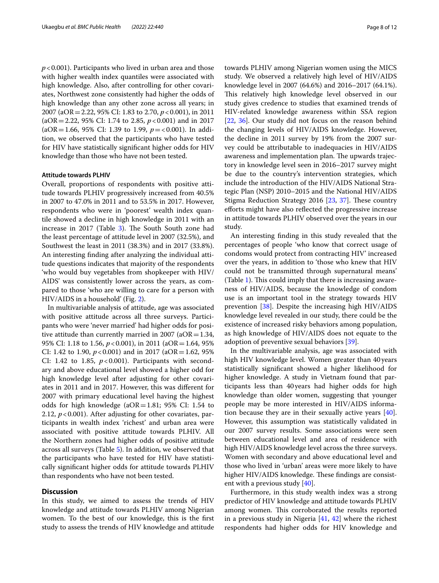*p*<0.001). Participants who lived in urban area and those with higher wealth index quantiles were associated with high knowledge. Also, after controlling for other covariates, Northwest zone consistently had higher the odds of high knowledge than any other zone across all years; in 2007 (aOR=2.22, 95% CI: 1.83 to 2.70, *p*<0.001), in 2011 (aOR=2.22, 95% CI: 1.74 to 2.85, *p*<0.001) and in 2017 (aOR=1.66, 95% CI: 1.39 to 1.99, *p*=<0.001). In addition, we observed that the participants who have tested for HIV have statistically signifcant higher odds for HIV knowledge than those who have not been tested.

#### **Attitude towards PLHIV**

Overall, proportions of respondents with positive attitude towards PLHIV progressively increased from 40.5% in 2007 to 47.0% in 2011 and to 53.5% in 2017. However, respondents who were in 'poorest' wealth index quantile showed a decline in high knowledge in 2011 with an increase in 2017 (Table [3\)](#page-5-0). The South South zone had the least percentage of attitude level in 2007 (32.5%), and Southwest the least in 2011 (38.3%) and in 2017 (33.8%). An interesting fnding after analyzing the individual attitude questions indicates that majority of the respondents 'who would buy vegetables from shopkeeper with HIV/ AIDS' was consistently lower across the years, as compared to those 'who are willing to care for a person with HIV/AIDS in a household' (Fig. [2](#page-3-1)).

In multivariable analysis of attitude, age was associated with positive attitude across all three surveys. Participants who were 'never married' had higher odds for positive attitude than currently married in 2007 (aOR =  $1.34$ , 95% CI: 1.18 to 1.56,  $p < 0.001$ ), in 2011 (aOR = 1.64, 95%) CI: 1.42 to 1.90,  $p < 0.001$ ) and in 2017 (aOR = 1.62, 95%) CI: 1.42 to 1.85,  $p < 0.001$ ). Participants with secondary and above educational level showed a higher odd for high knowledge level after adjusting for other covariates in 2011 and in 2017. However, this was diferent for 2007 with primary educational level having the highest odds for high knowledge ( $aOR=1.81$ ; 95% CI: 1.54 to 2.12,  $p < 0.001$ ). After adjusting for other covariates, participants in wealth index 'richest' and urban area were associated with positive attitude towards PLHIV. All the Northern zones had higher odds of positive attitude across all surveys (Table [5\)](#page-8-0). In addition, we observed that the participants who have tested for HIV have statistically signifcant higher odds for attitude towards PLHIV than respondents who have not been tested.

## **Discussion**

In this study, we aimed to assess the trends of HIV knowledge and attitude towards PLHIV among Nigerian women. To the best of our knowledge, this is the frst study to assess the trends of HIV knowledge and attitude towards PLHIV among Nigerian women using the MICS study. We observed a relatively high level of HIV/AIDS knowledge level in 2007 (64.6%) and 2016–2017 (64.1%). This relatively high knowledge level observed in our study gives credence to studies that examined trends of HIV-related knowledge awareness within SSA region [[22,](#page-10-20) [36](#page-11-6)]. Our study did not focus on the reason behind the changing levels of HIV/AIDS knowledge. However, the decline in 2011 survey by 19% from the 2007 survey could be attributable to inadequacies in HIV/AIDS awareness and implementation plan. The upwards trajectory in knowledge level seen in 2016–2017 survey might be due to the country's intervention strategies, which include the introduction of the HIV/AIDS National Strategic Plan (NSP) 2010–2015 and the National HIV/AIDS Stigma Reduction Strategy 2016 [\[23](#page-10-21), [37\]](#page-11-7). These country eforts might have also refected the progressive increase in attitude towards PLHIV observed over the years in our study.

An interesting fnding in this study revealed that the percentages of people 'who know that correct usage of condoms would protect from contracting HIV' increased over the years, in addition to 'those who knew that HIV could not be transmitted through supernatural means' (Table [1\)](#page-3-0). This could imply that there is increasing awareness of HIV/AIDS, because the knowledge of condom use is an important tool in the strategy towards HIV prevention [\[38\]](#page-11-8). Despite the increasing high HIV/AIDS knowledge level revealed in our study, there could be the existence of increased risky behaviors among population, as high knowledge of HIV/AIDS does not equate to the adoption of preventive sexual behaviors [[39\]](#page-11-9).

In the multivariable analysis, age was associated with high HIV knowledge level. Women greater than 40years statistically signifcant showed a higher likelihood for higher knowledge. A study in Vietnam found that participants less than 40years had higher odds for high knowledge than older women, suggesting that younger people may be more interested in HIV/AIDS information because they are in their sexually active years [\[40](#page-11-10)]. However, this assumption was statistically validated in our 2007 survey results. Some associations were seen between educational level and area of residence with high HIV/AIDS knowledge level across the three surveys. Women with secondary and above educational level and those who lived in 'urban' areas were more likely to have higher HIV/AIDS knowledge. These findings are consistent with a previous study [[40](#page-11-10)].

Furthermore, in this study wealth index was a strong predictor of HIV knowledge and attitude towards PLHIV among women. This corroborated the results reported in a previous study in Nigeria [\[41,](#page-11-11) [42](#page-11-12)] where the richest respondents had higher odds for HIV knowledge and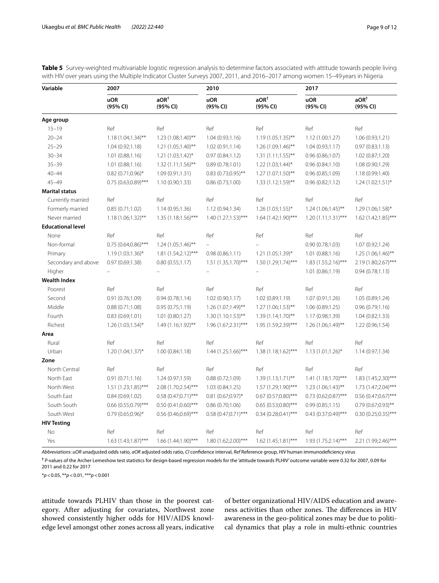<span id="page-8-0"></span>

| Table 5 Survey-weighted multivariable logistic regression analysis to determine factors associated with attitude towards people living |
|----------------------------------------------------------------------------------------------------------------------------------------|
| with HIV over years using the Multiple Indicator Cluster Surveys 2007, 2011, and 2016-2017 among women 15-49 years in Nigeria          |

| Variable                 | 2007                   |                              | 2010                   |                              | 2017                    |                              |
|--------------------------|------------------------|------------------------------|------------------------|------------------------------|-------------------------|------------------------------|
|                          | <b>uOR</b><br>(95% CI) | aOR <sup>†</sup><br>(95% CI) | <b>uOR</b><br>(95% CI) | aOR <sup>†</sup><br>(95% CI) | <b>uOR</b><br>(95% CI)  | aOR <sup>†</sup><br>(95% CI) |
| Age group                |                        |                              |                        |                              |                         |                              |
| $15 - 19$                | Ref                    | Ref                          | Ref                    | Ref                          | Ref                     | Ref                          |
| $20 - 24$                | $1.18(1.04;1.34)$ **   | 1.23 (1.08;1.40)**           | 1.04(0.93;1.16)        | 1.19 (1.05;1.35)**           | 1.12 (1.00;1.27)        | 1.06 (0.93;1.21)             |
| $25 - 29$                | 1.04(0.92;1.18)        | $1.21 (1.05; 1.40)$ **       | 1.02(0.91;1.14)        | 1.26 (1.09;1.46)**           | 1.04(0.93;1.17)         | 0.97(0.83;1.13)              |
| $30 - 34$                | 1.01(0.88;1.16)        | $1.21 (1.03; 1.42)^*$        | 0.97(0.84;1.12)        | $1.31(1.11;1.55)$ **         | 0.96(0.86;1.07)         | 1.02 (0.87;1.20)             |
| $35 - 39$                | 1.01(0.88;1.16)        | $1.32(1.11;1.56)$ **         | 0.89(0.78;1.01)        | 1.22 (1.03;1.44)*            | 0.96(0.84;1.10)         | 1.08 (0.90;1.29)             |
| $40 - 44$                | $0.82$ (0.71;0.96)*    | 1.09(0.91;1.31)              | $0.83$ (0.73;0.95)**   | 1.27 (1.07;1.50)**           | 0.96(0.85;1.09)         | 1.18 (0.99;1.40)             |
| $45 - 49$                | $0.75(0.63;0.89)$ ***  | 1.10 (0.90;1.33)             | 0.86(0.73;1.00)        | $1.33(1.12;1.59)$ **         | 0.96(0.82;1.12)         | $1.24(1.02;1.51)^{*}$        |
| <b>Marital status</b>    |                        |                              |                        |                              |                         |                              |
| Currently married        | Ref                    | Ref                          | Ref                    | Ref                          | Ref                     | Ref                          |
| Formerly married         | 0.85(0.71;1.02)        | 1.14(0.95;1.36)              | 1.12 (0.94;1.34)       | $1.26(1.03;1.55)^*$          | $1.24(1.06;1.45)$ **    | $1.29(1.06;1.58)$ *          |
| Never married            | 1.18 (1.06;1.32)**     | $1.35(1.18;1.56)$ ***        | $1.40(1.27;1.53)***$   | 1.64 (1.42;1.90)***          | $1.20(1.11;1.31)$ ***   | 1.62 (1.42;1.85)***          |
| <b>Educational level</b> |                        |                              |                        |                              |                         |                              |
| None                     | Ref                    | Ref                          | Ref                    | Ref                          | Ref                     | Ref                          |
| Non-formal               | $0.75(0.64;0.86)$ ***  | $1.24(1.05;1.46)$ **         | $\equiv$               |                              | 0.90(0.78;1.03)         | 1.07 (0.92;1.24)             |
| Primary                  | $1.19(1.03;1.36)^{*}$  | $1.81 (1.54;2.12)$ ***       | 0.98(0.86;1.11)        | 1.21 (1.05;1.39)*            | 1.01(0.88;1.16)         | $1.25(1.06;1.46)$ **         |
| Secondary and above      | 0.97(0.69;1.38)        | 0.80(0.55;1.17)              | $1.51(1.35;1.70)$ ***  | 1.50 (1.29;1.74)***          | $1.83(1.55;2.16)$ ***   | 2.19 (1.80;2.67)***          |
| Higher                   | $\equiv$               | $\equiv$                     | $\overline{a}$         | $\equiv$                     | 1.01(0.86;1.19)         | 0.94(0.78;1.13)              |
| <b>Wealth Index</b>      |                        |                              |                        |                              |                         |                              |
| Poorest                  | Ref                    | Ref                          | Ref                    | Ref                          | Ref                     | Ref                          |
| Second                   | 0.91(0.76;1.09)        | 0.94(0.78;1.14)              | 1.02 (0.90;1.17)       | 1.02 (0.89;1.19)             | 1.07 (0.91;1.26)        | 1.05 (0.89;1.24)             |
| Middle                   | 0.88(0.71;1.08)        | 0.95(0.75;1.19)              | 1.26 (1.07;1.49)**     | $1.27(1.06;1.53)$ **         | 1.06(0.89;1.25)         | 0.96(0.79;1.16)              |
| Fourth                   | 0.83(0.69;1.01)        | 1.01(0.80;1.27)              | $1.30(1.10;1.53)$ **   | $1.39(1.14;1.70)$ **         | 1.17 (0.98;1.39)        | 1.04(0.82;1.33)              |
| Richest                  | $1.26(1.03;1.54)$ *    | $1.49(1.16;1.92)$ **         | $1.96(1.67;2.31)$ ***  | 1.95 (1.59;2.39)***          | $1.26(1.06;1.49)$ **    | 1.22 (0.96;1.54)             |
| Area                     |                        |                              |                        |                              |                         |                              |
| Rural                    | Ref                    | Ref                          | Ref                    | Ref                          | Ref                     | Ref                          |
| Urban                    | $1.20(1.04;1.37)^{*}$  | 1.00(0.84;1.18)              | 1.44 (1.25;1.66)***    | 1.38 (1.18;1.62)***          | $1.13(1.01;1.26)^{*}$   | 1.14 (0.97;1.34)             |
| Zone                     |                        |                              |                        |                              |                         |                              |
| North Central            | Ref                    | Ref                          | Ref                    | Ref                          | Ref                     | Ref                          |
| North East               | 0.91(0.71;1.16)        | 1.24(0.97;1.59)              | 0.88(0.72;1.09)        | $1.39(1.13;1.71)$ **         | $1.41 (1.18; 1.70)$ *** | 1.83 (1.45;2.30)***          |
| North West               | 1.51 (1.23;1.85)***    | $2.08(1.70;2.54)$ ***        | 1.03(0.84;1.25)        | 1.57 (1.29;1.90)***          | $1.23(1.06;1.43)$ **    | 1.73 (1.47;2.04)***          |
| South East               | 0.84(0.69;1.02)        | $0.58(0.47;0.71)$ ***        | $0.81$ (0.67;0.97)*    | $0.67$ (0.57;0.80)***        | $0.73$ (0.62;0.87)***   | $0.56$ (0.47;0.67)***        |
| South South              | $0.66$ (0.55;0.79)***  | $0.50(0.41;0.60)$ ***        | 0.86(0.70;1.06)        | $0.65$ (0.53;0.80)***        | 0.99(0.85;1.15)         | $0.79(0.67;0.93)$ **         |
| South West               | $0.79(0.65;0.96)$ *    | $0.56$ (0.46;0.69)***        | $0.58(0.47;0.71)$ ***  | $0.34$ (0.28;0.41)***        | 0.43 (0.37;0.49)***     | $0.30(0.25;0.35)$ ***        |
| <b>HIV Testing</b>       |                        |                              |                        |                              |                         |                              |
| No                       | Ref                    | Ref                          | Ref                    | Ref                          | Ref                     | Ref                          |
| Yes                      | 1.63 (1.43;1.87)***    | 1.66 (1.44;1.90)***          | 1.80 (1.62;2.00)***    | $1.62$ (1.45;1.81)***        | 1.93 (1.75;2.14)***     | 2.21 (1.99;2.46)***          |

*Abbreviations*: *uOR* unadjusted odds ratio, *aOR* adjusted odds ratio, *CI* confdence interval, *Ref* Reference group, *HIV* human immunodefciency virus

**†** *P*-values of the Archer Lemeshow test statistics for design-based regression models for the 'attitude towards PLHIV' outcome variable were 0.32 for 2007, 0.09 for 2011 and 0.22 for 2017

\**p*<0.05, \*\**p*<0.01, \*\*\**p*<0.001

attitude towards PLHIV than those in the poorest category. After adjusting for covariates, Northwest zone showed consistently higher odds for HIV/AIDS knowledge level amongst other zones across all years, indicative

of better organizational HIV/AIDS education and awareness activities than other zones. The differences in HIV awareness in the geo-political zones may be due to political dynamics that play a role in multi-ethnic countries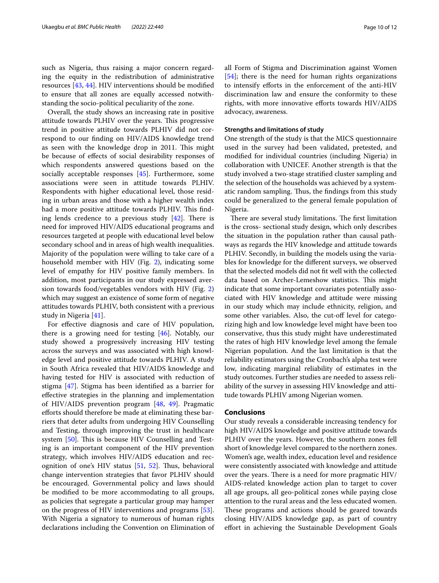such as Nigeria, thus raising a major concern regarding the equity in the redistribution of administrative resources [\[43](#page-11-13), [44\]](#page-11-14). HIV interventions should be modifed to ensure that all zones are equally accessed notwithstanding the socio-political peculiarity of the zone.

Overall, the study shows an increasing rate in positive attitude towards PLHIV over the years. This progressive trend in positive attitude towards PLHIV did not correspond to our fnding on HIV/AIDS knowledge trend as seen with the knowledge drop in 2011. This might be because of efects of social desirability responses of which respondents answered questions based on the socially acceptable responses [[45](#page-11-15)]. Furthermore, some associations were seen in attitude towards PLHIV. Respondents with higher educational level, those residing in urban areas and those with a higher wealth index had a more positive attitude towards PLHIV. This finding lends credence to a previous study  $[42]$  $[42]$ . There is need for improved HIV/AIDS educational programs and resources targeted at people with educational level below secondary school and in areas of high wealth inequalities. Majority of the population were willing to take care of a household member with HIV (Fig. [2\)](#page-3-1), indicating some level of empathy for HIV positive family members. In addition, most participants in our study expressed aversion towards food/vegetables vendors with HIV (Fig. [2](#page-3-1)) which may suggest an existence of some form of negative attitudes towards PLHIV, both consistent with a previous study in Nigeria [\[41](#page-11-11)].

For efective diagnosis and care of HIV population, there is a growing need for testing [\[46](#page-11-16)]. Notably, our study showed a progressively increasing HIV testing across the surveys and was associated with high knowledge level and positive attitude towards PLHIV. A study in South Africa revealed that HIV/AIDS knowledge and having tested for HIV is associated with reduction of stigma [[47\]](#page-11-17). Stigma has been identifed as a barrier for efective strategies in the planning and implementation of HIV/AIDS prevention program [[48,](#page-11-18) [49\]](#page-11-19). Pragmatic eforts should therefore be made at eliminating these barriers that deter adults from undergoing HIV Counselling and Testing, through improving the trust in healthcare system [[50](#page-11-20)]. This is because HIV Counselling and Testing is an important component of the HIV prevention strategy, which involves HIV/AIDS education and recognition of one's HIV status  $[51, 52]$  $[51, 52]$  $[51, 52]$  $[51, 52]$ . Thus, behavioral change intervention strategies that favor PLHIV should be encouraged. Governmental policy and laws should be modifed to be more accommodating to all groups, as policies that segregate a particular group may hamper on the progress of HIV interventions and programs [\[53](#page-11-23)]. With Nigeria a signatory to numerous of human rights declarations including the Convention on Elimination of all Form of Stigma and Discrimination against Women [[54\]](#page-11-24); there is the need for human rights organizations to intensify eforts in the enforcement of the anti-HIV discrimination law and ensure the conformity to these rights, with more innovative eforts towards HIV/AIDS advocacy, awareness.

## **Strengths and limitations of study**

One strength of the study is that the MICS questionnaire used in the survey had been validated, pretested, and modifed for individual countries (including Nigeria) in collaboration with UNICEF. Another strength is that the study involved a two-stage stratifed cluster sampling and the selection of the households was achieved by a systematic random sampling. Thus, the findings from this study could be generalized to the general female population of Nigeria.

There are several study limitations. The first limitation is the cross- sectional study design, which only describes the situation in the population rather than causal pathways as regards the HIV knowledge and attitude towards PLHIV. Secondly, in building the models using the variables for knowledge for the diferent surveys, we observed that the selected models did not ft well with the collected data based on Archer-Lemeshow statistics. This might indicate that some important covariates potentially associated with HIV knowledge and attitude were missing in our study which may include ethnicity, religion, and some other variables. Also, the cut-off level for categorizing high and low knowledge level might have been too conservative, thus this study might have underestimated the rates of high HIV knowledge level among the female Nigerian population. And the last limitation is that the reliability estimators using the Cronbach's alpha test were low, indicating marginal reliability of estimates in the study outcomes. Further studies are needed to assess reliability of the survey in assessing HIV knowledge and attitude towards PLHIV among Nigerian women.

## **Conclusions**

Our study reveals a considerable increasing tendency for high HIV/AIDS knowledge and positive attitude towards PLHIV over the years. However, the southern zones fell short of knowledge level compared to the northern zones. Women's age, wealth index, education level and residence were consistently associated with knowledge and attitude over the years. There is a need for more pragmatic  $H<sub>IV</sub>/$ AIDS-related knowledge action plan to target to cover all age groups, all geo-political zones while paying close attention to the rural areas and the less educated women. These programs and actions should be geared towards closing HIV/AIDS knowledge gap, as part of country efort in achieving the Sustainable Development Goals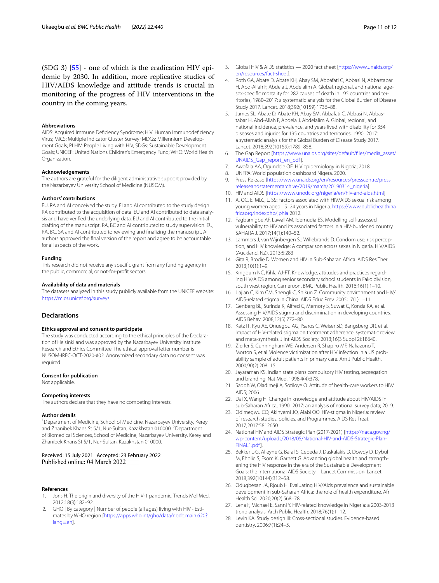(SDG 3) [\[55](#page-11-25)] - one of which is the eradication HIV epidemic by 2030. In addition, more replicative studies of HIV/AIDS knowledge and attitude trends is crucial in monitoring of the progress of HIV interventions in the country in the coming years.

#### **Abbreviations**

AIDS: Acquired Immune Defciency Syndrome; HIV: Human Immunodefciency Virus; MICS: Multiple Indicator Cluster Survey; MDGs: Millennium Development Goals; PLHIV: People Living with HIV; SDGs: Sustainable Development Goals; UNICEF: United Nations Children's Emergency Fund; WHO: World Health Organization.

#### **Acknowledgements**

The authors are grateful for the diligent administrative support provided by the Nazarbayev University School of Medicine (NUSOM).

#### **Authors' contributions**

EU, RA and AI conceived the study. EI and AI contributed to the study design. RA contributed to the acquisition of data. EU and AI contributed to data analysis and have verifed the underlying data. EU and AI contributed to the initial drafting of the manuscript. RA, BC and AI contributed to study supervision. EU, RA, BC, SA and AI contributed to reviewing and fnalizing the manuscript. All authors approved the fnal version of the report and agree to be accountable for all aspects of the work.

#### **Funding**

This research did not receive any specifc grant from any funding agency in the public, commercial, or not-for-proft sectors.

#### **Availability of data and materials**

The datasets analyzed in this study publicly available from the UNICEF website: <https://mics.unicef.org/surveys>

## **Declarations**

#### **Ethics approval and consent to participate**

The study was conducted according to the ethical principles of the Declaration of Helsinki and was approved by the Nazarbayev University Institute Research and Ethics Committee. The ethical approval letter number is NUSOM-IREC-OCT-2020-#02. Anonymized secondary data no consent was required.

#### **Consent for publication**

Not applicable.

#### **Competing interests**

The authors declare that they have no competing interests.

#### **Author details**

<sup>1</sup> Department of Medicine, School of Medicine, Nazarbayev University, Kerey and Zhanibek Khans St 5/1, Nur-Sultan, Kazakhstan 010000. <sup>2</sup>Department of Biomedical Sciences, School of Medicine, Nazarbayev University, Kerey and Zhanibek Khans St 5/1, Nur-Sultan, Kazakhstan 010000.

#### Received: 15 July 2021 Accepted: 23 February 2022 Published online: 04 March 2022

#### **References**

- <span id="page-10-0"></span>1. Joris H. The origin and diversity of the HIV-1 pandemic. Trends Mol Med. 2012;18(3):182–92.
- <span id="page-10-1"></span>2. GHO | By category | Number of people (all ages) living with HIV - Estimates by WHO region [[https://apps.who.int/gho/data/node.main.620?](https://apps.who.int/gho/data/node.main.620?lang=en) [lang](https://apps.who.int/gho/data/node.main.620?lang=en)=en].
- <span id="page-10-2"></span>3. Global HIV & AIDS statistics — 2020 fact sheet [\[https://www.unaids.org/](https://www.unaids.org/en/resources/fact-sheet) [en/resources/fact-sheet\]](https://www.unaids.org/en/resources/fact-sheet).
- <span id="page-10-3"></span>4. Roth GA, Abate D, Abate KH, Abay SM, Abbafati C, Abbasi N, Abbastabar H, Abd-Allah F, Abdela J, Abdelalim A. Global, regional, and national agesex-specifc mortality for 282 causes of death in 195 countries and territories, 1980–2017: a systematic analysis for the Global Burden of Disease Study 2017. Lancet. 2018;392(10159):1736–88.
- <span id="page-10-4"></span>5. James SL, Abate D, Abate KH, Abay SM, Abbafati C, Abbasi N, Abbastabar H, Abd-Allah F, Abdela J, Abdelalim A. Global, regional, and national incidence, prevalence, and years lived with disability for 354 diseases and injuries for 195 countries and territories, 1990–2017: a systematic analysis for the Global Burden of Disease Study 2017. Lancet. 2018;392(10159):1789–858.
- <span id="page-10-5"></span>6. The Gap Report [\[https://www.unaids.org/sites/default/fles/media\\_asset/](https://www.unaids.org/sites/default/files/media_asset/UNAIDS_Gap_report_en_pdf) [UNAIDS\\_Gap\\_report\\_en\\_pdf](https://www.unaids.org/sites/default/files/media_asset/UNAIDS_Gap_report_en_pdf)].
- <span id="page-10-6"></span>7. Awofala AA, Ogundele OE. HIV epidemiology in Nigeria; 2018.
- <span id="page-10-7"></span>8. UNFPA: World population dashboard Nigera. 2020.
- <span id="page-10-8"></span>9. Press Release [\[https://www.unaids.org/en/resources/presscentre/press](https://www.unaids.org/en/resources/presscentre/pressreleaseandstatementarchive/2019/march/20190314_nigeria) [releaseandstatementarchive/2019/march/20190314\\_nigeria](https://www.unaids.org/en/resources/presscentre/pressreleaseandstatementarchive/2019/march/20190314_nigeria)].
- <span id="page-10-9"></span>10. HIV and AIDS [<https://www.unodc.org/nigeria/en/hiv-and-aids.html>].
- <span id="page-10-10"></span>11. A. OC, E. MLC, L. SS: Factors associated with HIV/AIDS sexual risk among young women aged 15–24 years in Nigeria. [https://www.publichealthina](https://www.publichealthinafricaorg/indexphp/jphia) [fricaorg/indexphp/jphia](https://www.publichealthinafricaorg/indexphp/jphia) 2012.
- <span id="page-10-11"></span>12. Fagbamigbe AF, Lawal AM, Idemudia ES. Modelling self-assessed vulnerability to HIV and its associated factors in a HIV-burdened country. SAHARA J. 2017;14(1):140–52.
- <span id="page-10-12"></span>13. Lammers J, van Wijnbergen SJ, Willebrands D. Condom use, risk perception, and HIV knowledge: A comparison across sexes in Nigeria. HIV/AIDS (Auckland, NZ). 2013;5:283.
- <span id="page-10-13"></span>14. Gita R, Brodie D. Women and HIV in Sub-Saharan Africa. AIDS Res Ther. 2013;10(1):1–9.
- <span id="page-10-14"></span>15. Kingoum NC, Kihla AJ-FT. Knowledge, attitudes and practices regarding HIV/AIDS among senior secondary school students in Fako division, south west region, Cameroon. BMC Public Health. 2016;16(1):1–10.
- <span id="page-10-15"></span>16. Jiajian C, Kim CM, Shengli C, Shikun Z. Community environment and HIV/ AIDS-related stigma in China. AIDS Educ Prev. 2005;17(1):1–11.
- <span id="page-10-16"></span>17. Genberg BL, Surinda K, Alfred C, Memory S, Suwat C, Konda KA, et al. Assessing HIV/AIDS stigma and discrimination in developing countries. AIDS Behav. 2008;12(5):772–80.
- <span id="page-10-17"></span>18. Katz IT, Ryu AE, Onuegbu AG, Psaros C, Weiser SD, Bangsberg DR, et al. Impact of HIV-related stigma on treatment adherence: systematic review and meta-synthesis. J Int AIDS Society. 2013;16(3 Suppl 2):18640.
- <span id="page-10-18"></span>19. Zierler S, Cunningham WE, Andersen R, Shapiro MF, Nakazono T, Morton S, et al. Violence victimization after HIV infection in a US probability sample of adult patients in primary care. Am J Public Health. 2000;90(2):208–15.
- 20. Jayaraman KS. Indian state plans compulsory HIV testing, segregation and branding. Nat Med. 1998;4(4):378.
- <span id="page-10-19"></span>21. Sadoh W, Oladimeji A, Sotiloye O. Attitude of health-care workers to HIV/ AIDS; 2006.
- <span id="page-10-20"></span>22. Dai X, Wang H. Change in knowledge and attitude about HIV/AIDS in sub-Saharan Africa, 1990–2017: an analysis of national survey data; 2019.
- <span id="page-10-21"></span>23. Odimegwu CO, Akinyemi JO, Alabi OO. HIV-stigma in Nigeria: review of research studies, policies, and Programmes. AIDS Res Treat. 2017;2017:5812650.
- <span id="page-10-22"></span>24. National HIV and AIDS Strategic Plan (2017-2021) [[https://naca.gov.ng/](https://naca.gov.ng/wp-content/uploads/2018/05/National-HIV-and-AIDS-Strategic-Plan-FINAL1.pdf) [wp-content/uploads/2018/05/National-HIV-and-AIDS-Strategic-Plan-](https://naca.gov.ng/wp-content/uploads/2018/05/National-HIV-and-AIDS-Strategic-Plan-FINAL1.pdf)[FINAL1.pdf](https://naca.gov.ng/wp-content/uploads/2018/05/National-HIV-and-AIDS-Strategic-Plan-FINAL1.pdf)].
- <span id="page-10-23"></span>25. Bekker L-G, Alleyne G, Baral S, Cepeda J, Daskalakis D, Dowdy D, Dybul M, Eholie S, Esom K, Garnett G. Advancing global health and strengthening the HIV response in the era of the Sustainable Development Goals: the International AIDS Society—Lancet Commission. Lancet. 2018;392(10144):312–58.
- <span id="page-10-24"></span>26. Odugbesan JA, Rjoub H. Evaluating HIV/Aids prevalence and sustainable development in sub-Saharan Africa: the role of health expenditure. Afr Health Sci. 2020;20(2):568–78.
- <span id="page-10-25"></span>27. Lena F, Michael E, Sanni Y. HIV-related knowledge in Nigeria: a 2003-2013 trend analysis. Arch Public Health. 2018;76(1):1–12.
- <span id="page-10-26"></span>28. Levin KA. Study design III: Cross-sectional studies. Evidence-based dentistry. 2006;7(1):24–5.